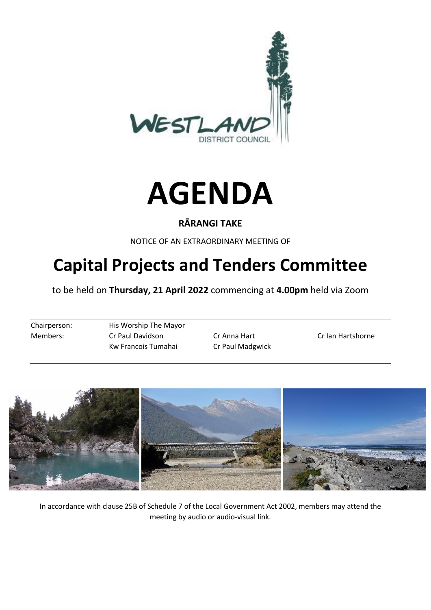



#### **RĀRANGI TAKE**

NOTICE OF AN EXTRAORDINARY MEETING OF

# **Capital Projects and Tenders Committee**

to be held on **Thursday, 21 April 2022** commencing at **4.00pm** held via Zoom

Chairperson: His Worship The Mayor Members: Cr Paul Davidson Cr Anna Hart Cr Ian Hartshorne Kw Francois Tumahai Cr Paul Madgwick



In accordance with clause 25B of Schedule 7 of the Local Government Act 2002, members may attend the meeting by audio or audio-visual link.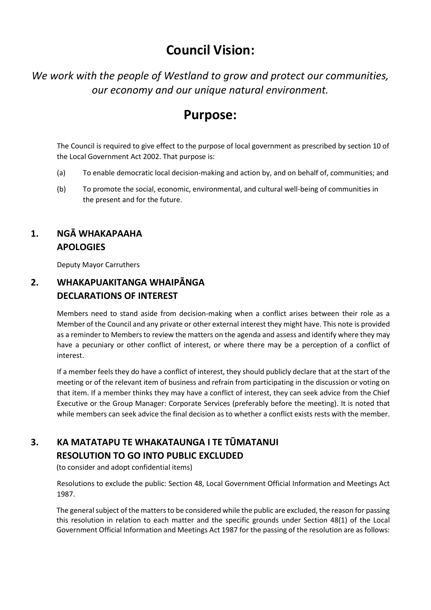## **Council Vision:**

*We work with the people of Westland to grow and protect our communities, our economy and our unique natural environment.*

## **Purpose:**

The Council is required to give effect to the purpose of local government as prescribed by section 10 of the Local Government Act 2002. That purpose is:

- (a) To enable democratic local decision-making and action by, and on behalf of, communities; and
- (b) To promote the social, economic, environmental, and cultural well-being of communities in the present and for the future.

#### **1. NGĀ WHAKAPAAHA APOLOGIES**

Deputy Mayor Carruthers

#### **2. WHAKAPUAKITANGA WHAIPĀNGA DECLARATIONS OF INTEREST**

Members need to stand aside from decision-making when a conflict arises between their role as a Member of the Council and any private or other external interest they might have. This note is provided as a reminder to Members to review the matters on the agenda and assess and identify where they may have a pecuniary or other conflict of interest, or where there may be a perception of a conflict of interest.

If a member feels they do have a conflict of interest, they should publicly declare that at the start of the meeting or of the relevant item of business and refrain from participating in the discussion or voting on that item. If a member thinks they may have a conflict of interest, they can seek advice from the Chief Executive or the Group Manager: Corporate Services (preferably before the meeting). It is noted that while members can seek advice the final decision as to whether a conflict exists rests with the member.

### **3. KA MATATAPU TE WHAKATAUNGA I TE TŪMATANUI RESOLUTION TO GO INTO PUBLIC EXCLUDED**

(to consider and adopt confidential items)

Resolutions to exclude the public: Section 48, Local Government Official Information and Meetings Act 1987.

The general subject of the matters to be considered while the public are excluded, the reason for passing this resolution in relation to each matter and the specific grounds under Section 48(1) of the Local Government Official Information and Meetings Act 1987 for the passing of the resolution are as follows: